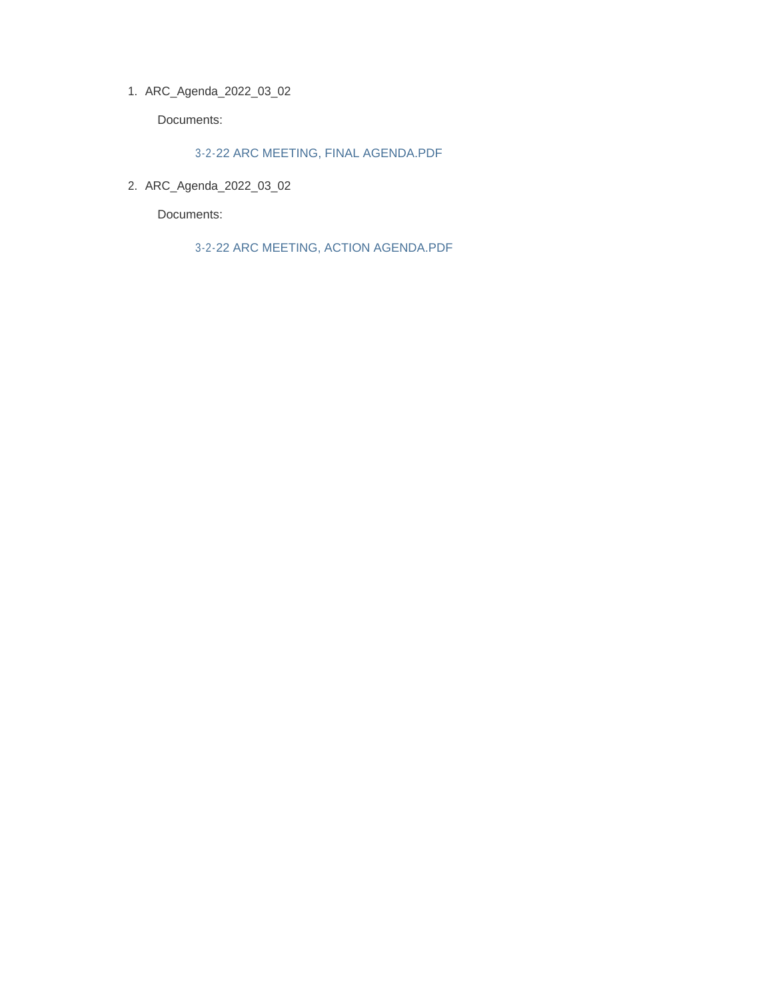ARC\_Agenda\_2022\_03\_02 1.

Documents:

3-2-22 ARC MEETING, FINAL AGENDA.PDF

ARC\_Agenda\_2022\_03\_02 2.

Documents:

3-2-22 ARC MEETING, ACTION AGENDA.PDF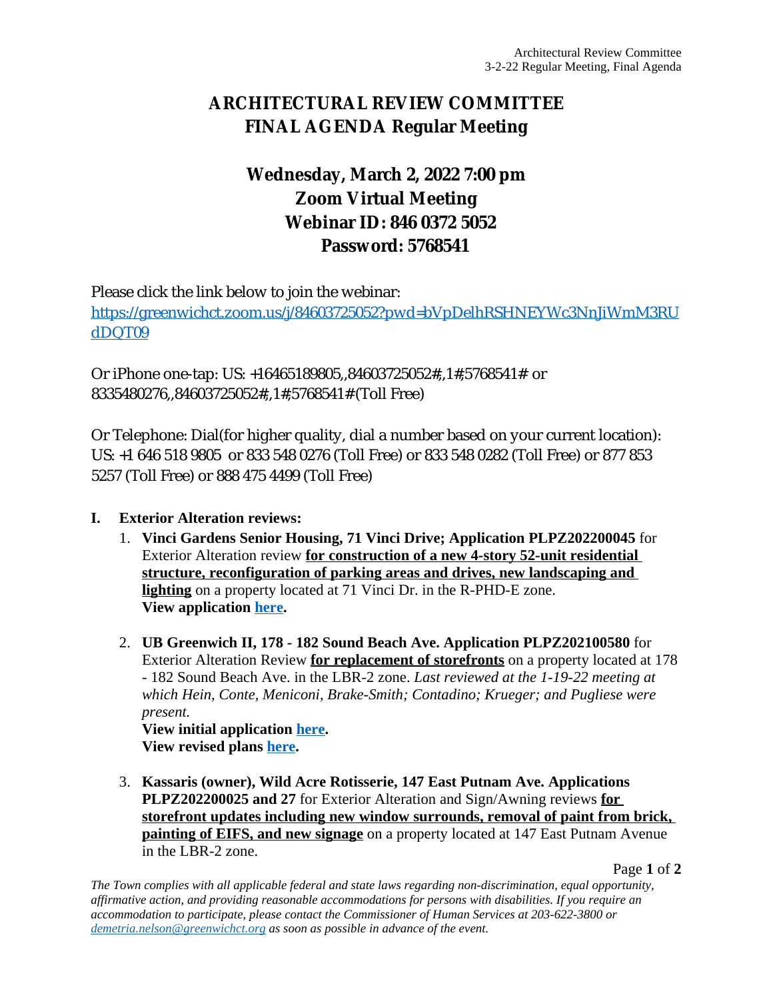# **ARCHITECTURAL REVIEW COMMITTEE FINAL AGENDA Regular Meeting**

# **Wednesday, March 2, 2022 7:00 pm Zoom Virtual Meeting Webinar ID: 846 0372 5052 Password: 5768541**

Please click the link below to join the webinar: [https://greenwichct.zoom.us/j/84603725052?pwd=bVpDelhRSHNEYWc3NnJiWmM3RU](https://greenwichct.zoom.us/j/84603725052?pwd=bVpDelhRSHNEYWc3NnJiWmM3RUdDQT09) dDQT09

Or iPhone one-tap: US: +16465189805,,84603725052#,,1#,5768541# or 8335480276,,84603725052#,,1#,5768541# (Toll Free)

Or Telephone: Dial(for higher quality, dial a number based on your current location): US: +1 646 518 9805 or 833 548 0276 (Toll Free) or 833 548 0282 (Toll Free) or 877 853 5257 (Toll Free) or 888 475 4499 (Toll Free)

## **I. Exterior Alteration reviews:**

- 1. **Vinci Gardens Senior Housing, 71 Vinci Drive; Application PLPZ202200045** for Exterior Alteration review **for construction of a new 4-story 52-unit residential structure, reconfiguration of parking areas and drives, new landscaping and lighting** on a property located at 71 Vinci Dr. in the R-PHD-E zone. **View application [here.](https://www.greenwichct.gov/DocumentCenter/View/28789/71-Vindi-Dr-EA-application-PLPZ202200045)**
- 2. **[UB Greenwich II, 178 182 Sound Beach Ave. Application PLPZ202100580](https://www.greenwichct.gov/DocumentCenter/View/28789/71-Vindi-Dr-EA-application-PLPZ202200045)** [for](https://www.greenwichct.gov/DocumentCenter/View/28789/71-Vindi-Dr-EA-application-PLPZ202200045)  [Exterior Alteration Review](https://www.greenwichct.gov/DocumentCenter/View/28789/71-Vindi-Dr-EA-application-PLPZ202200045) **[for replacement of storefronts](https://www.greenwichct.gov/DocumentCenter/View/28789/71-Vindi-Dr-EA-application-PLPZ202200045)** [on a property located at 178](https://www.greenwichct.gov/DocumentCenter/View/28789/71-Vindi-Dr-EA-application-PLPZ202200045) [- 182 Sound Beach Ave. in the LBR-2 zone.](https://www.greenwichct.gov/DocumentCenter/View/28789/71-Vindi-Dr-EA-application-PLPZ202200045) *[Last reviewed at the 1-19-22 meeting at](https://www.greenwichct.gov/DocumentCenter/View/28789/71-Vindi-Dr-EA-application-PLPZ202200045)  [which Hein, Conte, Meniconi, Brake-Smith; Contadino; Krueger; and Pugliese were](https://www.greenwichct.gov/DocumentCenter/View/28789/71-Vindi-Dr-EA-application-PLPZ202200045)  [present.](https://www.greenwichct.gov/DocumentCenter/View/28789/71-Vindi-Dr-EA-application-PLPZ202200045)*

**[View initial application](https://www.greenwichct.gov/DocumentCenter/View/28789/71-Vindi-Dr-EA-application-PLPZ202200045) [here.](https://www.greenwichct.gov/DocumentCenter/View/27493/178---182-SBA-exterior-PLPZ202100580) [View revised plans](https://www.greenwichct.gov/DocumentCenter/View/27493/178---182-SBA-exterior-PLPZ202100580) [here.](https://www.greenwichct.gov/DocumentCenter/View/28790/178-182-SBA-revised-plans-PLPZ202100580)**

3. **[Kassaris \(owner\), Wild Acre Rotisserie, 147 East Putnam Ave. Applications](https://www.greenwichct.gov/DocumentCenter/View/28790/178-182-SBA-revised-plans-PLPZ202100580)  [PLPZ202200025 and 27](https://www.greenwichct.gov/DocumentCenter/View/28790/178-182-SBA-revised-plans-PLPZ202100580)** [for Exterior Alteration and Sign/Awning reviews](https://www.greenwichct.gov/DocumentCenter/View/28790/178-182-SBA-revised-plans-PLPZ202100580) **[for](https://www.greenwichct.gov/DocumentCenter/View/28790/178-182-SBA-revised-plans-PLPZ202100580)  [storefront updates including new window surrounds, removal of paint from brick,](https://www.greenwichct.gov/DocumentCenter/View/28790/178-182-SBA-revised-plans-PLPZ202100580)  [painting of EIFS, and new signage](https://www.greenwichct.gov/DocumentCenter/View/28790/178-182-SBA-revised-plans-PLPZ202100580)** [on a property located at 147 East Putnam Avenue](https://www.greenwichct.gov/DocumentCenter/View/28790/178-182-SBA-revised-plans-PLPZ202100580)  [in the LBR-2 zone.](https://www.greenwichct.gov/DocumentCenter/View/28790/178-182-SBA-revised-plans-PLPZ202100580)

Page **1** of **2**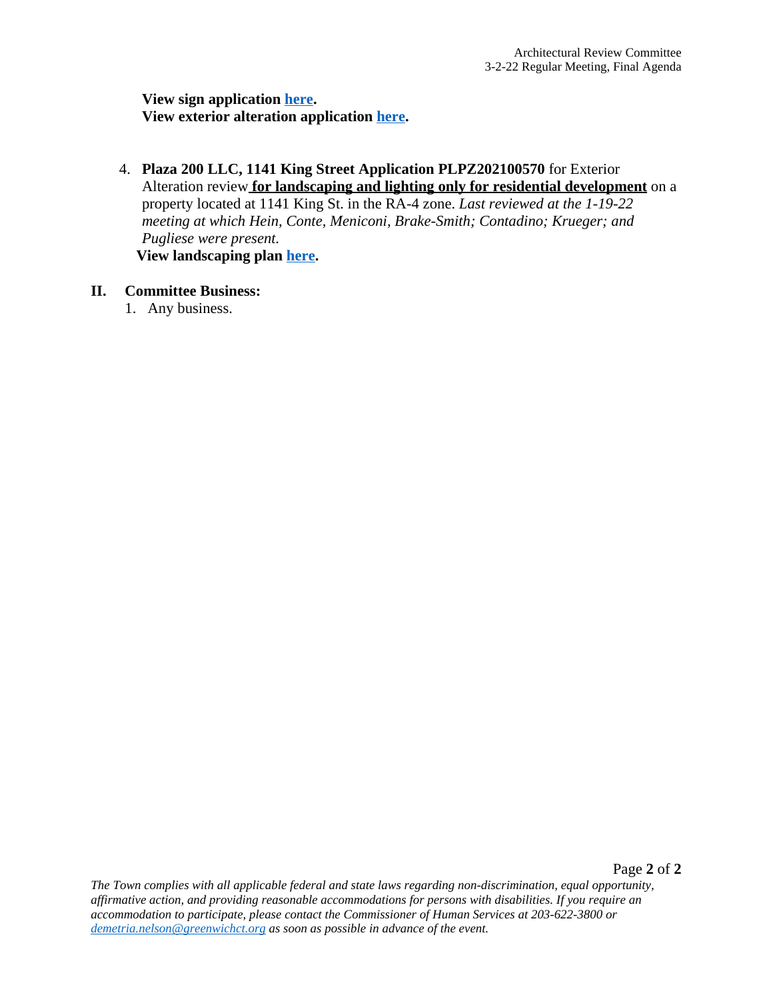**View sign application [here.](https://www.greenwichct.gov/DocumentCenter/View/28441/ARC-SA-147-EPA-WIldacre-PLPZ202200027) [View exterior alteration application](https://www.greenwichct.gov/DocumentCenter/View/28441/ARC-SA-147-EPA-WIldacre-PLPZ202200027) [here.](https://www.greenwichct.gov/DocumentCenter/View/28440/ARC-EA-147-EPA-WIldacre-PLPZ202200025)**

4. **[Plaza 200 LLC, 1141 King Street Application PLPZ202100570](https://www.greenwichct.gov/DocumentCenter/View/28440/ARC-EA-147-EPA-WIldacre-PLPZ202200025)** [for Exterior](https://www.greenwichct.gov/DocumentCenter/View/28440/ARC-EA-147-EPA-WIldacre-PLPZ202200025)  [Alteration review](https://www.greenwichct.gov/DocumentCenter/View/28440/ARC-EA-147-EPA-WIldacre-PLPZ202200025) **[for landscaping and lighting only for residential development](https://www.greenwichct.gov/DocumentCenter/View/28440/ARC-EA-147-EPA-WIldacre-PLPZ202200025)** [on a](https://www.greenwichct.gov/DocumentCenter/View/28440/ARC-EA-147-EPA-WIldacre-PLPZ202200025)  [property located at 1141 King St. in the RA-4 zone.](https://www.greenwichct.gov/DocumentCenter/View/28440/ARC-EA-147-EPA-WIldacre-PLPZ202200025) *[Last reviewed at the 1-19-22](https://www.greenwichct.gov/DocumentCenter/View/28440/ARC-EA-147-EPA-WIldacre-PLPZ202200025)  [meeting at which Hein, Conte, Meniconi, Brake-Smith; Contadino; Krueger; and](https://www.greenwichct.gov/DocumentCenter/View/28440/ARC-EA-147-EPA-WIldacre-PLPZ202200025)  [Pugliese were present.](https://www.greenwichct.gov/DocumentCenter/View/28440/ARC-EA-147-EPA-WIldacre-PLPZ202200025)* **[View landscaping plan](https://www.greenwichct.gov/DocumentCenter/View/28440/ARC-EA-147-EPA-WIldacre-PLPZ202200025) [here.](https://www.greenwichct.gov/DocumentCenter/View/28791/1141-King-Street-Planting-Plan-L-100-PLPZ202100570)**

### **II. [Committee Business:](https://www.greenwichct.gov/DocumentCenter/View/28791/1141-King-Street-Planting-Plan-L-100-PLPZ202100570)**

1. [Any business.](https://www.greenwichct.gov/DocumentCenter/View/28791/1141-King-Street-Planting-Plan-L-100-PLPZ202100570)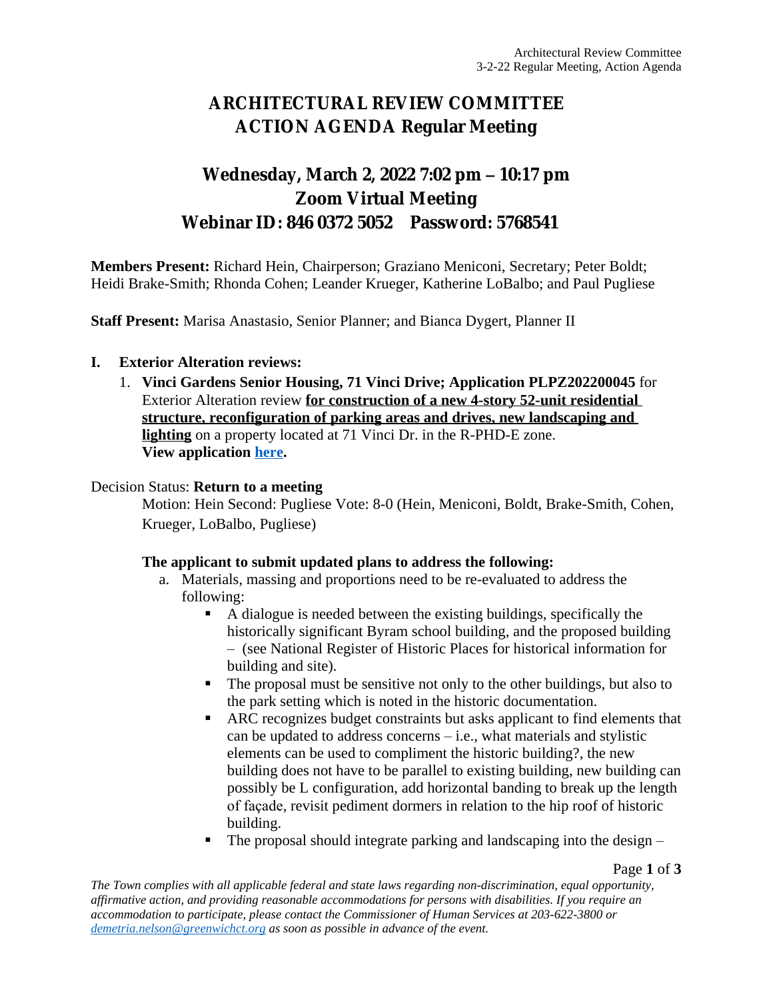# **ARCHITECTURAL REVIEW COMMITTEE ACTION AGENDA Regular Meeting**

## **Wednesday, March 2, 2022 7:02 pm – 10:17 pm Zoom Virtual Meeting Webinar ID: 846 0372 5052 Password: 5768541**

**Members Present:** Richard Hein, Chairperson; Graziano Meniconi, Secretary; Peter Boldt; Heidi Brake-Smith; Rhonda Cohen; Leander Krueger, Katherine LoBalbo; and Paul Pugliese

**Staff Present:** Marisa Anastasio, Senior Planner; and Bianca Dygert, Planner II

## **I. Exterior Alteration reviews:**

1. **Vinci Gardens Senior Housing, 71 Vinci Drive; Application PLPZ202200045** for Exterior Alteration review **for construction of a new 4-story 52-unit residential structure, reconfiguration of parking areas and drives, new landscaping and lighting** on a property located at 71 Vinci Dr. in the R-PHD-E zone. **View application [here](https://www.greenwichct.gov/DocumentCenter/View/28789/71-Vindi-Dr-EA-application-PLPZ202200045).**

### Decision Status: **Return to a meeting**

Motion: Hein Second: Pugliese Vote: 8-0 (Hein, Meniconi, Boldt, Brake-Smith, Cohen, Krueger, LoBalbo, Pugliese)

#### **The applicant to submit updated plans to address the following:**

- a. Materials, massing and proportions need to be re-evaluated to address the following:
	- A dialogue is needed between the existing buildings, specifically the historically significant Byram school building, and the proposed building – (see National Register of Historic Places for historical information for building and site).
	- The proposal must be sensitive not only to the other buildings, but also to the park setting which is noted in the historic documentation.
	- ARC recognizes budget constraints but asks applicant to find elements that can be updated to address concerns – i.e., what materials and stylistic elements can be used to compliment the historic building?, the new building does not have to be parallel to existing building, new building can possibly be L configuration, add horizontal banding to break up the length of façade, revisit pediment dormers in relation to the hip roof of historic building.
	- The proposal should integrate parking and landscaping into the design –

Page **1** of **3**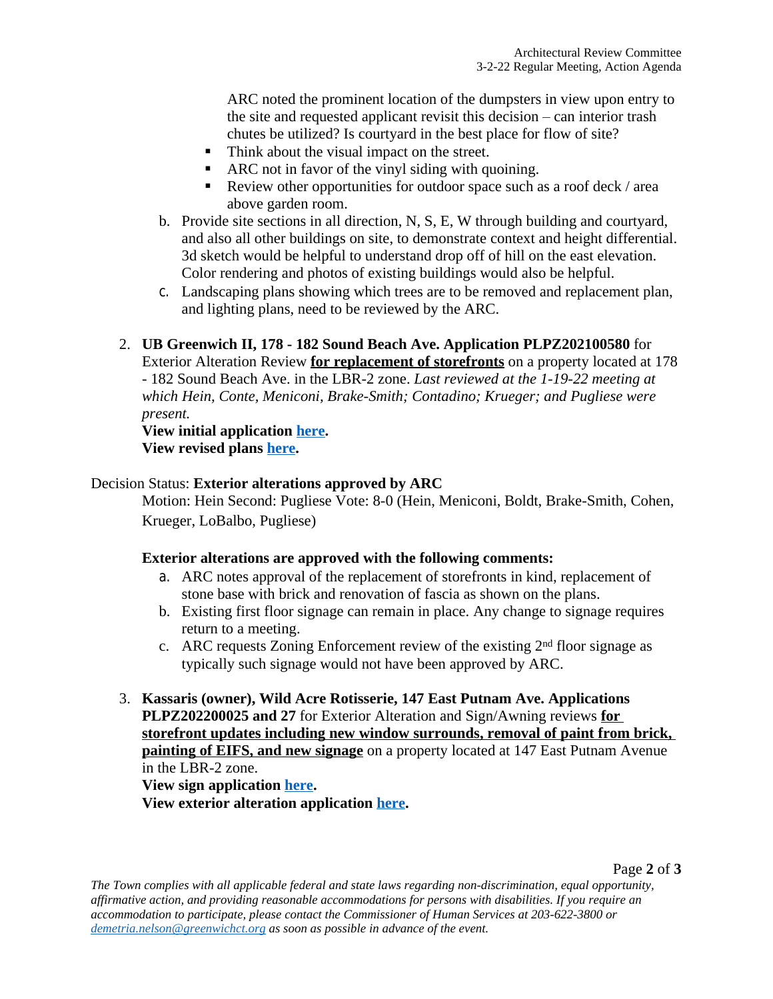ARC noted the prominent location of the dumpsters in view upon entry to the site and requested applicant revisit this decision – can interior trash chutes be utilized? Is courtyard in the best place for flow of site?

- Think about the visual impact on the street.
- ARC not in favor of the vinyl siding with quoining.
- Review other opportunities for outdoor space such as a roof deck / area above garden room.
- b. Provide site sections in all direction, N, S, E, W through building and courtyard, and also all other buildings on site, to demonstrate context and height differential. 3d sketch would be helpful to understand drop off of hill on the east elevation. Color rendering and photos of existing buildings would also be helpful.
- c. Landscaping plans showing which trees are to be removed and replacement plan, and lighting plans, need to be reviewed by the ARC.

## 2. **UB Greenwich II, 178 - 182 Sound Beach Ave. Application PLPZ202100580** for Exterior Alteration Review **for replacement of storefronts** on a property located at 178 - 182 Sound Beach Ave. in the LBR-2 zone. *Last reviewed at the 1-19-22 meeting at which Hein, Conte, Meniconi, Brake-Smith; Contadino; Krueger; and Pugliese were present.*

## **View initial application [here](https://www.greenwichct.gov/DocumentCenter/View/27493/178---182-SBA-exterior-PLPZ202100580). View revised plans [here](https://www.greenwichct.gov/DocumentCenter/View/28790/178-182-SBA-revised-plans-PLPZ202100580).**

## Decision Status: **Exterior alterations approved by ARC**

Motion: Hein Second: Pugliese Vote: 8-0 (Hein, Meniconi, Boldt, Brake-Smith, Cohen, Krueger, LoBalbo, Pugliese)

## **Exterior alterations are approved with the following comments:**

- a. ARC notes approval of the replacement of storefronts in kind, replacement of stone base with brick and renovation of fascia as shown on the plans.
- b. Existing first floor signage can remain in place. Any change to signage requires return to a meeting.
- c. ARC requests Zoning Enforcement review of the existing  $2<sup>nd</sup>$  floor signage as typically such signage would not have been approved by ARC.
- 3. **Kassaris (owner), Wild Acre Rotisserie, 147 East Putnam Ave. Applications PLPZ202200025 and 27** for Exterior Alteration and Sign/Awning reviews **for storefront updates including new window surrounds, removal of paint from brick, painting of EIFS, and new signage** on a property located at 147 East Putnam Avenue in the LBR-2 zone.

## **View sign application [here](https://www.greenwichct.gov/DocumentCenter/View/28441/ARC-SA-147-EPA-WIldacre-PLPZ202200027). View exterior alteration application [here](https://www.greenwichct.gov/DocumentCenter/View/28440/ARC-EA-147-EPA-WIldacre-PLPZ202200025).**

Page **2** of **3**